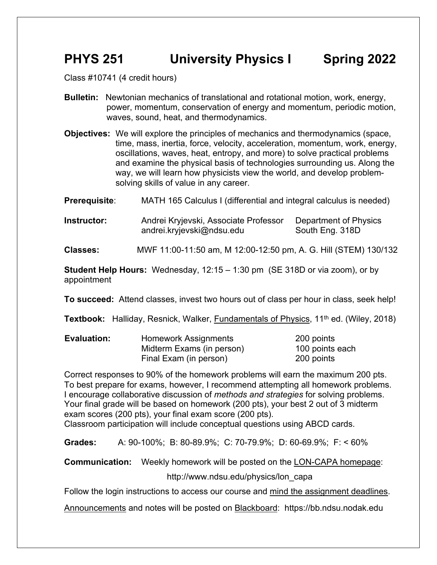## **PHYS 251 University Physics I Spring 2022**

Class #10741 (4 credit hours)

- **Bulletin:** Newtonian mechanics of translational and rotational motion, work, energy, power, momentum, conservation of energy and momentum, periodic motion, waves, sound, heat, and thermodynamics.
- **Objectives:** We will explore the principles of mechanics and thermodynamics (space, time, mass, inertia, force, velocity, acceleration, momentum, work, energy, oscillations, waves, heat, entropy, and more) to solve practical problems and examine the physical basis of technologies surrounding us. Along the way, we will learn how physicists view the world, and develop problemsolving skills of value in any career.

**Prerequisite:** MATH 165 Calculus I (differential and integral calculus is needed)

**Instructor:** Andrei Kryjevski, Associate Professor Department of Physics andrei.kryjevski@ndsu.edu South Eng. 318D

**Classes:** MWF 11:00-11:50 am, M 12:00-12:50 pm, A. G. Hill (STEM) 130/132

**Student Help Hours:** Wednesday, 12:15 – 1:30 pm (SE 318D or via zoom), or by appointment

**To succeed:** Attend classes, invest two hours out of class per hour in class, seek help!

**Textbook:** Halliday, Resnick, Walker, Fundamentals of Physics, 11<sup>th</sup> ed. (Wiley, 2018)

| <b>Evaluation:</b> | Homework Assignments      | 200 points      |
|--------------------|---------------------------|-----------------|
|                    | Midterm Exams (in person) | 100 points each |
|                    | Final Exam (in person)    | 200 points      |

Correct responses to 90% of the homework problems will earn the maximum 200 pts. To best prepare for exams, however, I recommend attempting all homework problems. I encourage collaborative discussion of *methods and strategies* for solving problems. Your final grade will be based on homework (200 pts), your best 2 out of 3 midterm exam scores (200 pts), your final exam score (200 pts). Classroom participation will include conceptual questions using ABCD cards.

**Grades:** A: 90-100%; B: 80-89.9%; C: 70-79.9%; D: 60-69.9%; F: < 60%

**Communication:** Weekly homework will be posted on the LON-CAPA homepage:

http://www.ndsu.edu/physics/lon\_capa

Follow the login instructions to access our course and mind the assignment deadlines.

Announcements and notes will be posted on Blackboard: https://bb.ndsu.nodak.edu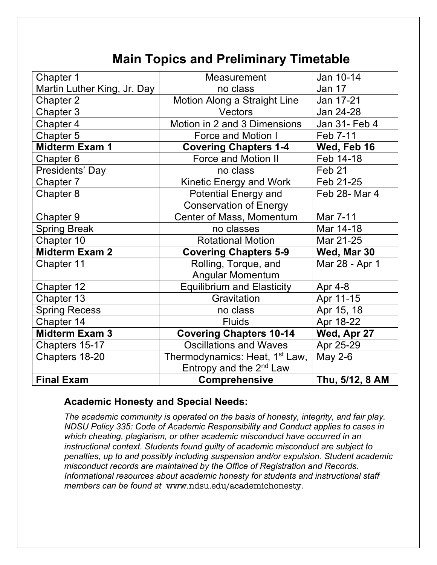# **Main Topics and Preliminary Timetable**

| Chapter 1                   | Measurement                                | Jan 10-14       |
|-----------------------------|--------------------------------------------|-----------------|
| Martin Luther King, Jr. Day | no class                                   | Jan 17          |
| Chapter 2                   | Motion Along a Straight Line               | Jan 17-21       |
| Chapter 3                   | Vectors                                    | Jan 24-28       |
| Chapter 4                   | Motion in 2 and 3 Dimensions               | Jan 31- Feb 4   |
| Chapter 5                   | Force and Motion I                         | Feb 7-11        |
| <b>Midterm Exam 1</b>       | <b>Covering Chapters 1-4</b>               | Wed, Feb 16     |
| Chapter 6                   | <b>Force and Motion II</b>                 | Feb 14-18       |
| Presidents' Day             | no class                                   | Feb 21          |
| Chapter 7                   | Kinetic Energy and Work                    | Feb 21-25       |
| Chapter 8                   | <b>Potential Energy and</b>                | Feb 28- Mar 4   |
|                             | <b>Conservation of Energy</b>              |                 |
| Chapter 9                   | Center of Mass, Momentum                   | Mar 7-11        |
| <b>Spring Break</b>         | no classes                                 | Mar 14-18       |
| Chapter 10                  | <b>Rotational Motion</b>                   | Mar 21-25       |
| <b>Midterm Exam 2</b>       | <b>Covering Chapters 5-9</b>               | Wed, Mar 30     |
| Chapter 11                  | Rolling, Torque, and                       | Mar 28 - Apr 1  |
|                             | <b>Angular Momentum</b>                    |                 |
| Chapter 12                  | <b>Equilibrium and Elasticity</b>          | Apr 4-8         |
| Chapter 13                  | Gravitation                                | Apr 11-15       |
| <b>Spring Recess</b>        | no class                                   | Apr 15, 18      |
| Chapter 14                  | <b>Fluids</b>                              | Apr 18-22       |
| <b>Midterm Exam 3</b>       | <b>Covering Chapters 10-14</b>             | Wed, Apr 27     |
| Chapters 15-17              | <b>Oscillations and Waves</b>              | Apr 25-29       |
| Chapters 18-20              | Thermodynamics: Heat, 1 <sup>st</sup> Law, | May 2-6         |
|                             | Entropy and the $2^{nd}$ Law               |                 |
| <b>Final Exam</b>           | <b>Comprehensive</b>                       | Thu, 5/12, 8 AM |

### **Academic Honesty and Special Needs:**

*The academic community is operated on the basis of honesty, integrity, and fair play. NDSU Policy 335: Code of Academic Responsibility and Conduct applies to cases in which cheating, plagiarism, or other academic misconduct have occurred in an instructional context. Students found guilty of academic misconduct are subject to penalties, up to and possibly including suspension and/or expulsion. Student academic misconduct records are maintained by the Office of Registration and Records. Informational resources about academic honesty for students and instructional staff members can be found at* www.ndsu.edu/academichonesty*.*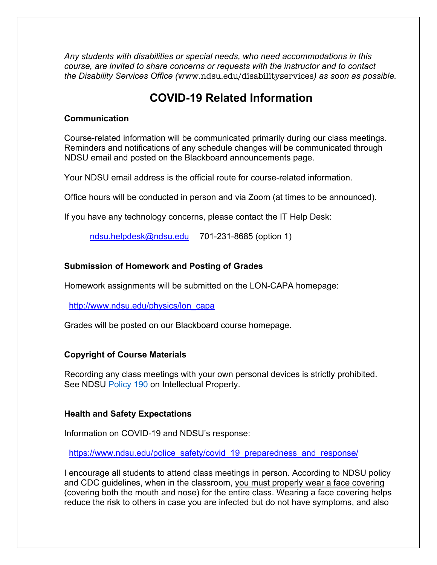*Any students with disabilities or special needs, who need accommodations in this course, are invited to share concerns or requests with the instructor and to contact the Disability Services Office (*www.ndsu.edu/disabilityservices*) as soon as possible.*

### **COVID-19 Related Information**

#### **Communication**

Course-related information will be communicated primarily during our class meetings. Reminders and notifications of any schedule changes will be communicated through NDSU email and posted on the Blackboard announcements page.

Your NDSU email address is the official route for course-related information.

Office hours will be conducted in person and via Zoom (at times to be announced).

If you have any technology concerns, please contact the IT Help Desk:

ndsu.helpdesk@ndsu.edu 701-231-8685 (option 1)

#### **Submission of Homework and Posting of Grades**

Homework assignments will be submitted on the LON-CAPA homepage:

http://www.ndsu.edu/physics/lon\_capa

Grades will be posted on our Blackboard course homepage.

#### **Copyright of Course Materials**

Recording any class meetings with your own personal devices is strictly prohibited. See NDSU Policy 190 on Intellectual Property.

#### **Health and Safety Expectations**

Information on COVID-19 and NDSU's response:

https://www.ndsu.edu/police\_safety/covid\_19\_preparedness\_and\_response/

I encourage all students to attend class meetings in person. According to NDSU policy and CDC guidelines, when in the classroom, you must properly wear a face covering (covering both the mouth and nose) for the entire class. Wearing a face covering helps reduce the risk to others in case you are infected but do not have symptoms, and also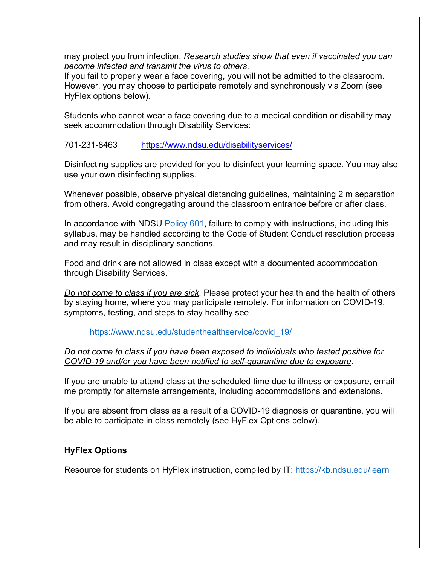may protect you from infection. *Research studies show that even if vaccinated you can become infected and transmit the virus to others.*

If you fail to properly wear a face covering, you will not be admitted to the classroom. However, you may choose to participate remotely and synchronously via Zoom (see HyFlex options below).

Students who cannot wear a face covering due to a medical condition or disability may seek accommodation through Disability Services:

#### 701-231-8463 https://www.ndsu.edu/disabilityservices/

Disinfecting supplies are provided for you to disinfect your learning space. You may also use your own disinfecting supplies.

Whenever possible, observe physical distancing guidelines, maintaining 2 m separation from others. Avoid congregating around the classroom entrance before or after class.

In accordance with NDSU Policy 601, failure to comply with instructions, including this syllabus, may be handled according to the Code of Student Conduct resolution process and may result in disciplinary sanctions.

Food and drink are not allowed in class except with a documented accommodation through Disability Services.

*Do not come to class if you are sick*. Please protect your health and the health of others by staying home, where you may participate remotely. For information on COVID-19, symptoms, testing, and steps to stay healthy see

#### https://www.ndsu.edu/studenthealthservice/covid\_19/

#### *Do not come to class if you have been exposed to individuals who tested positive for COVID-19 and/or you have been notified to self-quarantine due to exposure*.

If you are unable to attend class at the scheduled time due to illness or exposure, email me promptly for alternate arrangements, including accommodations and extensions.

If you are absent from class as a result of a COVID-19 diagnosis or quarantine, you will be able to participate in class remotely (see HyFlex Options below).

#### **HyFlex Options**

Resource for students on HyFlex instruction, compiled by IT: https://kb.ndsu.edu/learn